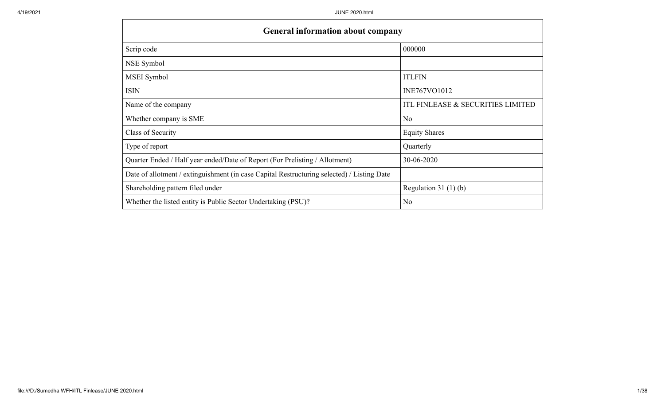$\mathbf{I}$ 

| <b>General information about company</b>                                                   |                                   |
|--------------------------------------------------------------------------------------------|-----------------------------------|
| Scrip code                                                                                 | 000000                            |
| NSE Symbol                                                                                 |                                   |
| MSEI Symbol                                                                                | <b>ITLFIN</b>                     |
| <b>ISIN</b>                                                                                | INE767VO1012                      |
| Name of the company                                                                        | ITL FINLEASE & SECURITIES LIMITED |
| Whether company is SME                                                                     | N <sub>o</sub>                    |
| Class of Security                                                                          | <b>Equity Shares</b>              |
| Type of report                                                                             | Quarterly                         |
| Quarter Ended / Half year ended/Date of Report (For Prelisting / Allotment)                | 30-06-2020                        |
| Date of allotment / extinguishment (in case Capital Restructuring selected) / Listing Date |                                   |
| Shareholding pattern filed under                                                           | Regulation $31(1)(b)$             |
| Whether the listed entity is Public Sector Undertaking (PSU)?                              | N <sub>o</sub>                    |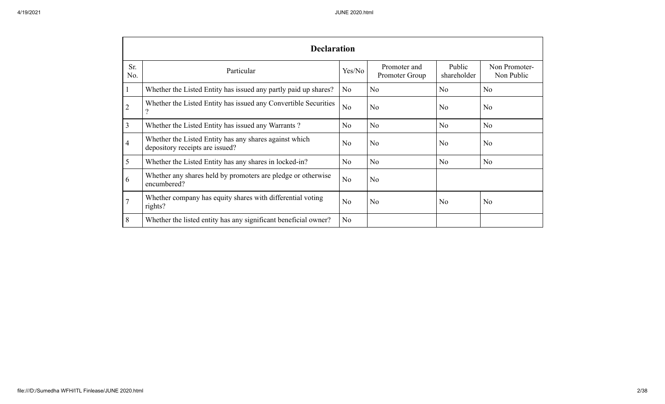|                 | <b>Declaration</b>                                                                        |                |                                |                       |                             |
|-----------------|-------------------------------------------------------------------------------------------|----------------|--------------------------------|-----------------------|-----------------------------|
| Sr.<br>No.      | Particular                                                                                | Yes/No         | Promoter and<br>Promoter Group | Public<br>shareholder | Non Promoter-<br>Non Public |
| $\mathbf{I}$    | Whether the Listed Entity has issued any partly paid up shares?                           | N <sub>o</sub> | N <sub>o</sub>                 | N <sub>o</sub>        | No                          |
| $\overline{2}$  | Whether the Listed Entity has issued any Convertible Securities                           | N <sub>o</sub> | No                             | N <sub>o</sub>        | N <sub>o</sub>              |
| 3               | Whether the Listed Entity has issued any Warrants?                                        | N <sub>o</sub> | No                             | N <sub>o</sub>        | N <sub>o</sub>              |
| 4               | Whether the Listed Entity has any shares against which<br>depository receipts are issued? | N <sub>o</sub> | No                             | N <sub>o</sub>        | No                          |
| $5\overline{)}$ | Whether the Listed Entity has any shares in locked-in?                                    | N <sub>o</sub> | No                             | N <sub>o</sub>        | N <sub>o</sub>              |
| 6               | Whether any shares held by promoters are pledge or otherwise<br>encumbered?               | N <sub>o</sub> | No                             |                       |                             |
| $\overline{7}$  | Whether company has equity shares with differential voting<br>rights?                     | N <sub>o</sub> | No                             | N <sub>o</sub>        | N <sub>o</sub>              |
| 8               | Whether the listed entity has any significant beneficial owner?                           | N <sub>o</sub> |                                |                       |                             |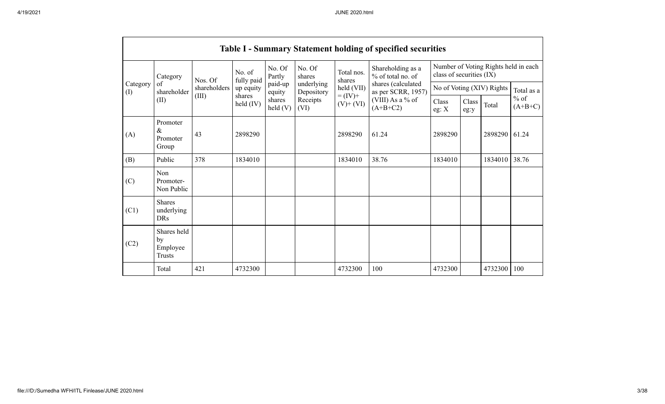|                 |                                                |              |                              |                   |                          |                              | <b>Table I - Summary Statement holding of specified securities</b> |                                                 |                                                                  |            |                     |  |
|-----------------|------------------------------------------------|--------------|------------------------------|-------------------|--------------------------|------------------------------|--------------------------------------------------------------------|-------------------------------------------------|------------------------------------------------------------------|------------|---------------------|--|
|                 | Category                                       | Nos. Of      | No. of<br>fully paid         | No. Of<br>Partly  | No. Of<br>shares         | Total nos.<br>shares         | Shareholding as a<br>% of total no. of                             |                                                 | Number of Voting Rights held in each<br>class of securities (IX) |            |                     |  |
| Category<br>(I) | of<br>shareholder                              | shareholders | up equity                    | paid-up<br>equity | underlying<br>Depository | held (VII)                   | as per SCRR, 1957)                                                 | shares (calculated<br>No of Voting (XIV) Rights |                                                                  | Total as a |                     |  |
|                 | (II)                                           | (III)        | shares<br>$\text{held (IV)}$ | shares<br>held(V) | Receipts<br>(VI)         | $= (IV) +$<br>$(V)$ + $(VI)$ | (VIII) As a % of<br>$(A+B+C2)$                                     | Class<br>eg: X                                  | Class<br>eg:y                                                    | Total      | $%$ of<br>$(A+B+C)$ |  |
| (A)             | Promoter<br>$\&$<br>Promoter<br>Group          | 43           | 2898290                      |                   |                          | 2898290                      | 61.24                                                              | 2898290                                         |                                                                  | 2898290    | 61.24               |  |
| (B)             | Public                                         | 378          | 1834010                      |                   |                          | 1834010                      | 38.76                                                              | 1834010                                         |                                                                  | 1834010    | 38.76               |  |
| (C)             | Non<br>Promoter-<br>Non Public                 |              |                              |                   |                          |                              |                                                                    |                                                 |                                                                  |            |                     |  |
| (C1)            | <b>Shares</b><br>underlying<br><b>DRs</b>      |              |                              |                   |                          |                              |                                                                    |                                                 |                                                                  |            |                     |  |
| (C2)            | Shares held<br>by<br>Employee<br><b>Trusts</b> |              |                              |                   |                          |                              |                                                                    |                                                 |                                                                  |            |                     |  |
|                 | Total                                          | 421          | 4732300                      |                   |                          | 4732300                      | 100                                                                | 4732300                                         |                                                                  | 4732300    | 100                 |  |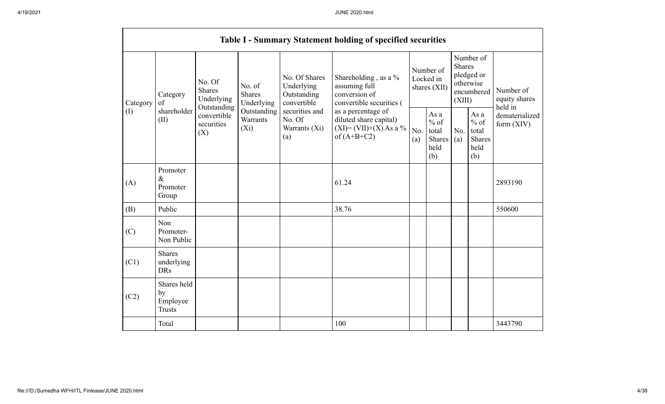|          |                                                |                                                      |                                       |                                                           | <b>Table I - Summary Statement holding of specified securities</b>                         |                                                                                |                                                  |            |                                                         |                                       |  |                                       |
|----------|------------------------------------------------|------------------------------------------------------|---------------------------------------|-----------------------------------------------------------|--------------------------------------------------------------------------------------------|--------------------------------------------------------------------------------|--------------------------------------------------|------------|---------------------------------------------------------|---------------------------------------|--|---------------------------------------|
| Category | Category<br>of                                 | No. Of<br><b>Shares</b><br>Underlying<br>Outstanding | No. of<br><b>Shares</b><br>Underlying | No. Of Shares<br>Underlying<br>Outstanding<br>convertible | Shareholding, as a %<br>assuming full<br>conversion of<br>convertible securities (         | <b>Shares</b><br>Number of<br>Locked in<br>otherwise<br>shares (XII)<br>(XIII) |                                                  |            |                                                         | Number of<br>pledged or<br>encumbered |  | Number of<br>equity shares<br>held in |
| (I)      | shareholder<br>(II)                            | convertible<br>securities<br>(X)                     | Outstanding<br>Warrants<br>$(X_i)$    | securities and<br>No. Of<br>Warrants (Xi)<br>(a)          | as a percentage of<br>diluted share capital)<br>$(XI) = (VII)+(X) As a %$<br>of $(A+B+C2)$ | No.<br>(a)                                                                     | As a<br>$%$ of<br>total<br>Shares<br>held<br>(b) | No.<br>(a) | As a<br>$%$ of<br>total<br><b>Shares</b><br>held<br>(b) | dematerialized<br>form $(XIV)$        |  |                                       |
| (A)      | Promoter<br>$\&$<br>Promoter<br>Group          |                                                      |                                       |                                                           | 61.24                                                                                      |                                                                                |                                                  |            |                                                         | 2893190                               |  |                                       |
| (B)      | Public                                         |                                                      |                                       |                                                           | 38.76                                                                                      |                                                                                |                                                  |            |                                                         | 550600                                |  |                                       |
| (C)      | Non<br>Promoter-<br>Non Public                 |                                                      |                                       |                                                           |                                                                                            |                                                                                |                                                  |            |                                                         |                                       |  |                                       |
| (C1)     | <b>Shares</b><br>underlying<br><b>DRs</b>      |                                                      |                                       |                                                           |                                                                                            |                                                                                |                                                  |            |                                                         |                                       |  |                                       |
| (C2)     | Shares held<br>by<br>Employee<br><b>Trusts</b> |                                                      |                                       |                                                           |                                                                                            |                                                                                |                                                  |            |                                                         |                                       |  |                                       |
|          | Total                                          |                                                      |                                       |                                                           | 100                                                                                        |                                                                                |                                                  |            |                                                         | 3443790                               |  |                                       |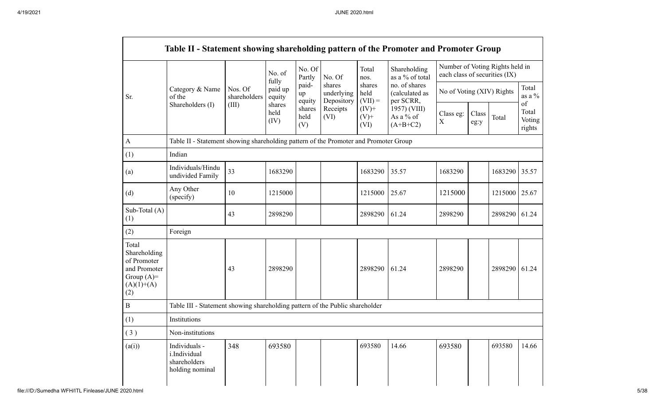|                                                                                             |                                                                                      |                         | No. of                     | No. Of<br>Partly      | No. Of                             | Total<br>nos.               | Shareholding<br>as a % of total              | each class of securities (IX) |               | Number of Voting Rights held in |                                 |
|---------------------------------------------------------------------------------------------|--------------------------------------------------------------------------------------|-------------------------|----------------------------|-----------------------|------------------------------------|-----------------------------|----------------------------------------------|-------------------------------|---------------|---------------------------------|---------------------------------|
| Sr.                                                                                         | Category & Name<br>of the                                                            | Nos. Of<br>shareholders | fully<br>paid up<br>equity | paid-<br>up<br>equity | shares<br>underlying<br>Depository | shares<br>held<br>$(VII) =$ | no. of shares<br>(calculated as<br>per SCRR, | No of Voting (XIV) Rights     |               |                                 | Total<br>as a $\%$              |
|                                                                                             | Shareholders (I)                                                                     | (III)                   | shares<br>held<br>(IV)     | shares<br>held<br>(V) | Receipts<br>(VI)                   | $(IV)+$<br>$(V)$ +<br>(VI)  | 1957) (VIII)<br>As a % of<br>$(A+B+C2)$      | Class eg:<br>X                | Class<br>eg:y | Total                           | of<br>Total<br>Voting<br>rights |
| $\mathbf{A}$                                                                                | Table II - Statement showing shareholding pattern of the Promoter and Promoter Group |                         |                            |                       |                                    |                             |                                              |                               |               |                                 |                                 |
| (1)                                                                                         | Indian                                                                               |                         |                            |                       |                                    |                             |                                              |                               |               |                                 |                                 |
| (a)                                                                                         | Individuals/Hindu<br>undivided Family                                                | 33                      | 1683290                    |                       |                                    | 1683290                     | 35.57                                        | 1683290                       |               | 1683290                         | 35.57                           |
| (d)                                                                                         | Any Other<br>(specify)                                                               | 10                      | 1215000                    |                       |                                    | 1215000                     | 25.67                                        | 1215000                       |               | 1215000                         | 25.67                           |
| Sub-Total (A)<br>(1)                                                                        |                                                                                      | 43                      | 2898290                    |                       |                                    | 2898290                     | 61.24                                        | 2898290                       |               | 2898290                         | 61.24                           |
| (2)                                                                                         | Foreign                                                                              |                         |                            |                       |                                    |                             |                                              |                               |               |                                 |                                 |
| Total<br>Shareholding<br>of Promoter<br>and Promoter<br>Group $(A)=$<br>$(A)(1)+(A)$<br>(2) |                                                                                      | 43                      | 2898290                    |                       |                                    | 2898290                     | 61.24                                        | 2898290                       |               | 2898290                         | 61.24                           |
| B                                                                                           | Table III - Statement showing shareholding pattern of the Public shareholder         |                         |                            |                       |                                    |                             |                                              |                               |               |                                 |                                 |
| (1)                                                                                         | Institutions                                                                         |                         |                            |                       |                                    |                             |                                              |                               |               |                                 |                                 |
| (3)                                                                                         | Non-institutions                                                                     |                         |                            |                       |                                    |                             |                                              |                               |               |                                 |                                 |
| (a(i))                                                                                      | Individuals -<br>i.Individual<br>shareholders<br>holding nominal                     | 348                     | 693580                     |                       |                                    | 693580                      | 14.66                                        | 693580                        |               | 693580                          | 14.66                           |

 $\Gamma$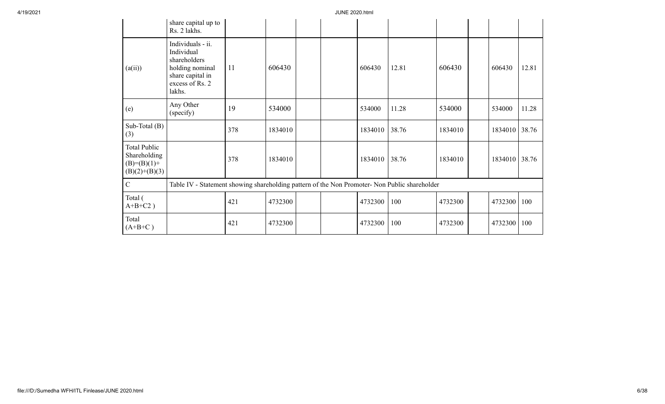|                                                                         | share capital up to<br>Rs. 2 lakhs.                                                                                 |     |         |  |         |       |         |         |       |
|-------------------------------------------------------------------------|---------------------------------------------------------------------------------------------------------------------|-----|---------|--|---------|-------|---------|---------|-------|
| (a(ii))                                                                 | Individuals - ii.<br>Individual<br>shareholders<br>holding nominal<br>share capital in<br>excess of Rs. 2<br>lakhs. | 11  | 606430  |  | 606430  | 12.81 | 606430  | 606430  | 12.81 |
| (e)                                                                     | Any Other<br>(specify)                                                                                              | 19  | 534000  |  | 534000  | 11.28 | 534000  | 534000  | 11.28 |
| Sub-Total (B)<br>(3)                                                    |                                                                                                                     | 378 | 1834010 |  | 1834010 | 38.76 | 1834010 | 1834010 | 38.76 |
| <b>Total Public</b><br>Shareholding<br>$(B)=(B)(1)+$<br>$(B)(2)+(B)(3)$ |                                                                                                                     | 378 | 1834010 |  | 1834010 | 38.76 | 1834010 | 1834010 | 38.76 |
| $\mathbf C$                                                             | Table IV - Statement showing shareholding pattern of the Non Promoter- Non Public shareholder                       |     |         |  |         |       |         |         |       |
| Total (<br>$A+B+C2$ )                                                   |                                                                                                                     | 421 | 4732300 |  | 4732300 | 100   | 4732300 | 4732300 | 100   |
| Total<br>$(A+B+C)$                                                      |                                                                                                                     | 421 | 4732300 |  | 4732300 | 100   | 4732300 | 4732300 | 100   |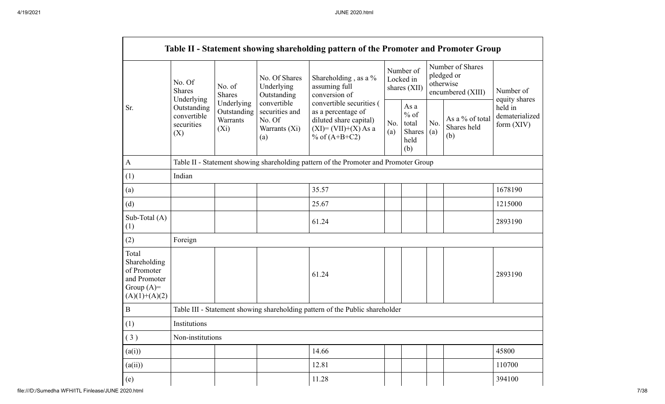|                                                                                         |                                                               |                                                  |                                                                 | Table II - Statement showing shareholding pattern of the Promoter and Promoter Group                                   |            |                                                  |            |                                                                  |                                                          |
|-----------------------------------------------------------------------------------------|---------------------------------------------------------------|--------------------------------------------------|-----------------------------------------------------------------|------------------------------------------------------------------------------------------------------------------------|------------|--------------------------------------------------|------------|------------------------------------------------------------------|----------------------------------------------------------|
|                                                                                         | No. Of<br><b>Shares</b>                                       | No. of<br>Shares                                 | No. Of Shares<br>Underlying<br>Outstanding                      | Shareholding, as a %<br>assuming full<br>conversion of                                                                 |            | Number of<br>Locked in<br>shares (XII)           |            | Number of Shares<br>pledged or<br>otherwise<br>encumbered (XIII) | Number of                                                |
| Sr.                                                                                     | Underlying<br>Outstanding<br>convertible<br>securities<br>(X) | Underlying<br>Outstanding<br>Warrants<br>$(X_i)$ | convertible<br>securities and<br>No. Of<br>Warrants (Xi)<br>(a) | convertible securities (<br>as a percentage of<br>diluted share capital)<br>$(XI) = (VII)+(X) As a$<br>% of $(A+B+C2)$ | No.<br>(a) | As a<br>$%$ of<br>total<br>Shares<br>held<br>(b) | No.<br>(a) | As a % of total<br>Shares held<br>(b)                            | equity shares<br>held in<br>dematerialized<br>form (XIV) |
| $\mathbf{A}$                                                                            |                                                               |                                                  |                                                                 | Table II - Statement showing shareholding pattern of the Promoter and Promoter Group                                   |            |                                                  |            |                                                                  |                                                          |
| (1)                                                                                     | Indian                                                        |                                                  |                                                                 |                                                                                                                        |            |                                                  |            |                                                                  |                                                          |
| (a)                                                                                     |                                                               |                                                  |                                                                 | 35.57                                                                                                                  |            |                                                  |            |                                                                  | 1678190                                                  |
| (d)                                                                                     |                                                               |                                                  |                                                                 | 25.67                                                                                                                  |            |                                                  |            |                                                                  | 1215000                                                  |
| Sub-Total (A)<br>(1)                                                                    |                                                               |                                                  |                                                                 | 61.24                                                                                                                  |            |                                                  |            |                                                                  | 2893190                                                  |
| (2)                                                                                     | Foreign                                                       |                                                  |                                                                 |                                                                                                                        |            |                                                  |            |                                                                  |                                                          |
| Total<br>Shareholding<br>of Promoter<br>and Promoter<br>Group $(A)=$<br>$(A)(1)+(A)(2)$ |                                                               |                                                  |                                                                 | 61.24                                                                                                                  |            |                                                  |            |                                                                  | 2893190                                                  |
| $\bf{B}$                                                                                |                                                               |                                                  |                                                                 | Table III - Statement showing shareholding pattern of the Public shareholder                                           |            |                                                  |            |                                                                  |                                                          |
| (1)                                                                                     | Institutions                                                  |                                                  |                                                                 |                                                                                                                        |            |                                                  |            |                                                                  |                                                          |
| (3)                                                                                     | Non-institutions                                              |                                                  |                                                                 |                                                                                                                        |            |                                                  |            |                                                                  |                                                          |
| (a(i))                                                                                  |                                                               |                                                  |                                                                 | 14.66                                                                                                                  |            |                                                  |            |                                                                  | 45800                                                    |
| (a(ii))                                                                                 |                                                               |                                                  |                                                                 | 12.81                                                                                                                  |            |                                                  |            |                                                                  | 110700                                                   |
| (e)                                                                                     |                                                               |                                                  |                                                                 | 11.28                                                                                                                  |            |                                                  |            |                                                                  | 394100                                                   |

 $\Gamma$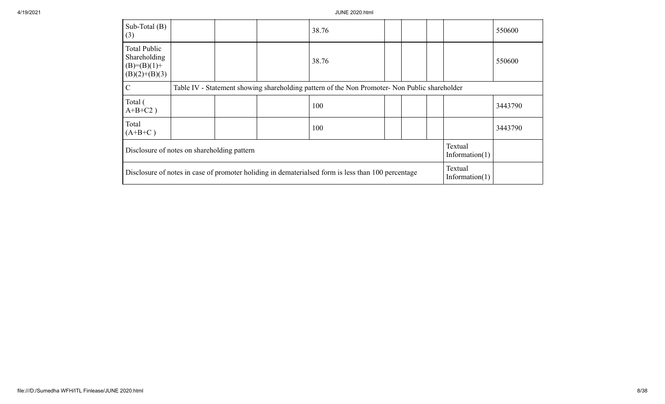| Sub-Total $(B)$<br>(3)                                                                             |  |  |  | 38.76                                                                                         |  |  |  |                              | 550600  |
|----------------------------------------------------------------------------------------------------|--|--|--|-----------------------------------------------------------------------------------------------|--|--|--|------------------------------|---------|
| <b>Total Public</b><br>Shareholding<br>$(B)=(B)(1)+$<br>$(B)(2)+(B)(3)$                            |  |  |  | 38.76                                                                                         |  |  |  |                              | 550600  |
| $\mathcal{C}$                                                                                      |  |  |  | Table IV - Statement showing shareholding pattern of the Non Promoter- Non Public shareholder |  |  |  |                              |         |
| Total (<br>$A+B+C2$ )                                                                              |  |  |  | 100                                                                                           |  |  |  |                              | 3443790 |
| Total<br>$(A+B+C)$                                                                                 |  |  |  | 100                                                                                           |  |  |  |                              | 3443790 |
| Disclosure of notes on shareholding pattern                                                        |  |  |  |                                                                                               |  |  |  | Textual<br>Information $(1)$ |         |
| Disclosure of notes in case of promoter holiding in dematerialsed form is less than 100 percentage |  |  |  |                                                                                               |  |  |  | Textual<br>Information $(1)$ |         |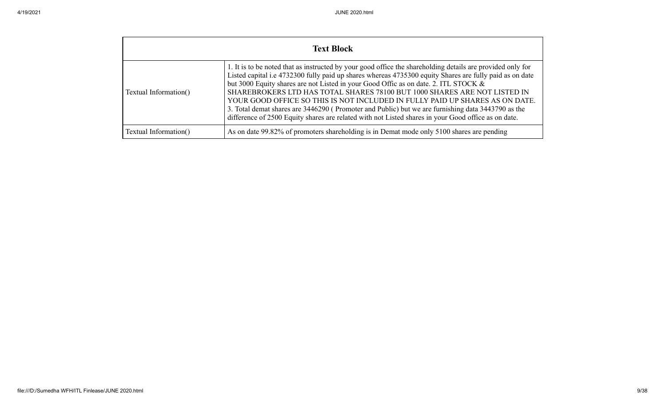|                       | <b>Text Block</b>                                                                                                                                                                                                                                                                                                                                                                                                                                                                                                                                                                                                                                                                     |
|-----------------------|---------------------------------------------------------------------------------------------------------------------------------------------------------------------------------------------------------------------------------------------------------------------------------------------------------------------------------------------------------------------------------------------------------------------------------------------------------------------------------------------------------------------------------------------------------------------------------------------------------------------------------------------------------------------------------------|
| Textual Information() | 1. It is to be noted that as instructed by your good office the shareholding details are provided only for<br>Listed capital i.e 4732300 fully paid up shares whereas 4735300 equity Shares are fully paid as on date<br>but 3000 Equity shares are not Listed in your Good Offic as on date. 2. ITL STOCK &<br>SHAREBROKERS LTD HAS TOTAL SHARES 78100 BUT 1000 SHARES ARE NOT LISTED IN<br>YOUR GOOD OFFICE SO THIS IS NOT INCLUDED IN FULLY PAID UP SHARES AS ON DATE.<br>3. Total demat shares are 3446290 (Promoter and Public) but we are furnishing data 3443790 as the<br>difference of 2500 Equity shares are related with not Listed shares in your Good office as on date. |
| Textual Information() | As on date 99.82% of promoters shareholding is in Demat mode only 5100 shares are pending                                                                                                                                                                                                                                                                                                                                                                                                                                                                                                                                                                                             |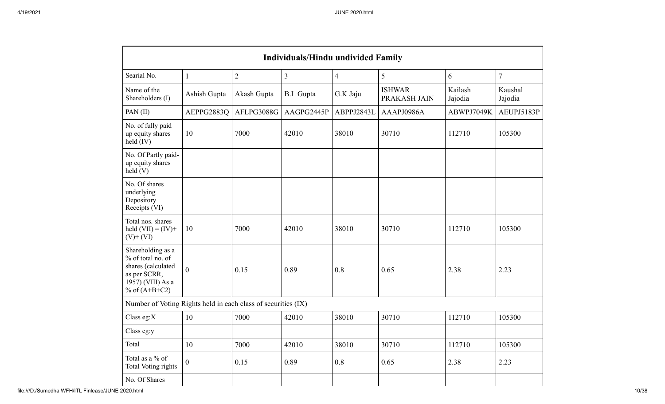|                                                                                                                      | <b>Individuals/Hindu undivided Family</b> |                |                         |                |                               |                    |                    |  |  |  |  |  |  |
|----------------------------------------------------------------------------------------------------------------------|-------------------------------------------|----------------|-------------------------|----------------|-------------------------------|--------------------|--------------------|--|--|--|--|--|--|
| Searial No.                                                                                                          | $\mathbf{1}$                              | $\overline{2}$ | $\overline{\mathbf{3}}$ | $\overline{4}$ | 5                             | 6                  | $\overline{7}$     |  |  |  |  |  |  |
| Name of the<br>Shareholders (I)                                                                                      | Ashish Gupta                              | Akash Gupta    | <b>B.L</b> Gupta        | G.K Jaju       | <b>ISHWAR</b><br>PRAKASH JAIN | Kailash<br>Jajodia | Kaushal<br>Jajodia |  |  |  |  |  |  |
| PAN(II)                                                                                                              | AEPPG2883Q                                | AFLPG3088G     | AAGPG2445P              | ABPPJ2843L     | AAAPJ0986A                    | ABWPJ7049K         | AEUPJ5183P         |  |  |  |  |  |  |
| No. of fully paid<br>up equity shares<br>$held$ (IV)                                                                 | 10                                        | 7000           | 42010                   | 38010          | 30710                         | 112710             | 105300             |  |  |  |  |  |  |
| No. Of Partly paid-<br>up equity shares<br>held(V)                                                                   |                                           |                |                         |                |                               |                    |                    |  |  |  |  |  |  |
| No. Of shares<br>underlying<br>Depository<br>Receipts (VI)                                                           |                                           |                |                         |                |                               |                    |                    |  |  |  |  |  |  |
| Total nos. shares<br>held $(VII) = (IV) +$<br>$(V)$ + $(VI)$                                                         | 10                                        | 7000           | 42010                   | 38010          | 30710                         | 112710             | 105300             |  |  |  |  |  |  |
| Shareholding as a<br>% of total no. of<br>shares (calculated<br>as per SCRR,<br>1957) (VIII) As a<br>% of $(A+B+C2)$ | $\theta$                                  | 0.15           | 0.89                    | 0.8            | 0.65                          | 2.38               | 2.23               |  |  |  |  |  |  |
| Number of Voting Rights held in each class of securities (IX)                                                        |                                           |                |                         |                |                               |                    |                    |  |  |  |  |  |  |
| Class eg:X                                                                                                           | 10                                        | 7000           | 42010                   | 38010          | 30710                         | 112710             | 105300             |  |  |  |  |  |  |
| Class eg:y                                                                                                           |                                           |                |                         |                |                               |                    |                    |  |  |  |  |  |  |
| Total                                                                                                                | 10                                        | 7000           | 42010                   | 38010          | 30710                         | 112710             | 105300             |  |  |  |  |  |  |
| Total as a % of<br>Total Voting rights                                                                               | $\overline{0}$                            | 0.15           | 0.89                    | 0.8            | 0.65                          | 2.38               | 2.23               |  |  |  |  |  |  |
| No. Of Shares                                                                                                        |                                           |                |                         |                |                               |                    |                    |  |  |  |  |  |  |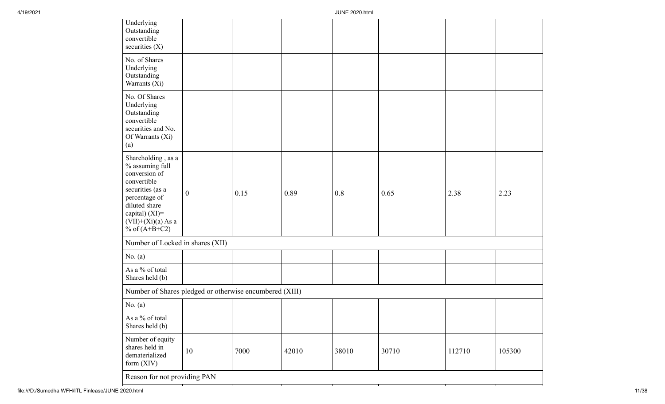| Underlying<br>Outstanding<br>convertible<br>securities $(X)$                                                                                                                                |                  |      |       |       |       |        |        |
|---------------------------------------------------------------------------------------------------------------------------------------------------------------------------------------------|------------------|------|-------|-------|-------|--------|--------|
| No. of Shares<br>Underlying<br>Outstanding<br>Warrants (Xi)                                                                                                                                 |                  |      |       |       |       |        |        |
| No. Of Shares<br>Underlying<br>Outstanding<br>convertible<br>securities and No.<br>Of Warrants (Xi)<br>(a)                                                                                  |                  |      |       |       |       |        |        |
| Shareholding, as a<br>$\%$ assuming full<br>conversion of<br>convertible<br>securities (as a<br>percentage of<br>diluted share<br>capital) (XI)=<br>$(VII)+(Xi)(a)$ As a<br>% of $(A+B+C2)$ | $\boldsymbol{0}$ | 0.15 | 0.89  | 0.8   | 0.65  | 2.38   | 2.23   |
| Number of Locked in shares (XII)                                                                                                                                                            |                  |      |       |       |       |        |        |
| No. $(a)$                                                                                                                                                                                   |                  |      |       |       |       |        |        |
| As a % of total<br>Shares held (b)                                                                                                                                                          |                  |      |       |       |       |        |        |
| Number of Shares pledged or otherwise encumbered (XIII)                                                                                                                                     |                  |      |       |       |       |        |        |
| No. $(a)$                                                                                                                                                                                   |                  |      |       |       |       |        |        |
| As a % of total<br>Shares held (b)                                                                                                                                                          |                  |      |       |       |       |        |        |
| Number of equity<br>shares held in<br>dematerialized<br>form $(XIV)$                                                                                                                        | 10               | 7000 | 42010 | 38010 | 30710 | 112710 | 105300 |
| Reason for not providing PAN                                                                                                                                                                |                  |      |       |       |       |        |        |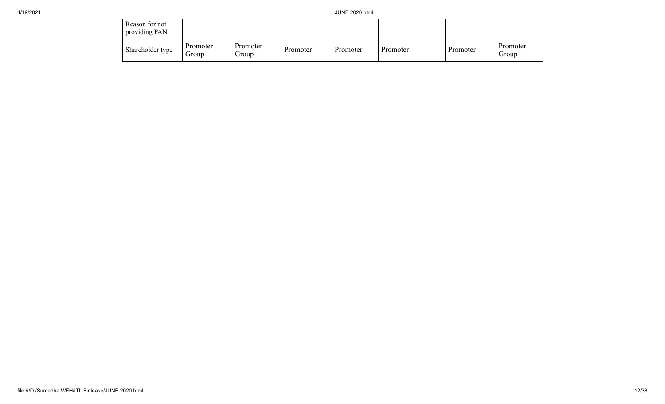| Reason for not<br>providing PAN |                   |                   |          |          |          |          |                   |
|---------------------------------|-------------------|-------------------|----------|----------|----------|----------|-------------------|
| Shareholder type                | Promoter<br>Group | Promoter<br>Group | Promoter | Promoter | Promoter | Promoter | Promoter<br>Group |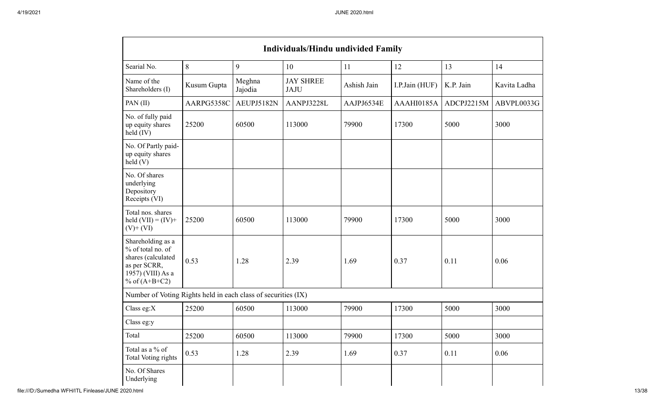| <b>Individuals/Hindu undivided Family</b>                                                                            |             |                   |                                 |             |                |            |              |  |  |  |  |
|----------------------------------------------------------------------------------------------------------------------|-------------|-------------------|---------------------------------|-------------|----------------|------------|--------------|--|--|--|--|
| Searial No.                                                                                                          | 8           | 9                 | 10                              | 11          | 12             | 13         | 14           |  |  |  |  |
| Name of the<br>Shareholders (I)                                                                                      | Kusum Gupta | Meghna<br>Jajodia | <b>JAY SHREE</b><br><b>JAJU</b> | Ashish Jain | I.P.Jain (HUF) | K.P. Jain  | Kavita Ladha |  |  |  |  |
| PAN (II)                                                                                                             | AARPG5358C  | AEUPJ5182N        | AANPJ3228L                      | AAJPJ6534E  | AAAHI0185A     | ADCPJ2215M | ABVPL0033G   |  |  |  |  |
| No. of fully paid<br>up equity shares<br>$\text{held (IV)}$                                                          | 25200       | 60500             | 113000                          | 79900       | 17300          | 5000       | 3000         |  |  |  |  |
| No. Of Partly paid-<br>up equity shares<br>held(V)                                                                   |             |                   |                                 |             |                |            |              |  |  |  |  |
| No. Of shares<br>underlying<br>Depository<br>Receipts (VI)                                                           |             |                   |                                 |             |                |            |              |  |  |  |  |
| Total nos. shares<br>held $(VII) = (IV) +$<br>$(V)+(VI)$                                                             | 25200       | 60500             | 113000                          | 79900       | 17300          | 5000       | 3000         |  |  |  |  |
| Shareholding as a<br>% of total no. of<br>shares (calculated<br>as per SCRR,<br>1957) (VIII) As a<br>% of $(A+B+C2)$ | 0.53        | 1.28              | 2.39                            | 1.69        | 0.37           | 0.11       | 0.06         |  |  |  |  |
| Number of Voting Rights held in each class of securities (IX)                                                        |             |                   |                                 |             |                |            |              |  |  |  |  |
| Class eg: $X$                                                                                                        | 25200       | 60500             | 113000                          | 79900       | 17300          | 5000       | 3000         |  |  |  |  |
| Class eg:y                                                                                                           |             |                   |                                 |             |                |            |              |  |  |  |  |
| Total                                                                                                                | 25200       | 60500             | 113000                          | 79900       | 17300          | 5000       | 3000         |  |  |  |  |
| Total as a % of<br><b>Total Voting rights</b>                                                                        | 0.53        | 1.28              | 2.39                            | 1.69        | 0.37           | 0.11       | 0.06         |  |  |  |  |
| No. Of Shares<br>Underlying                                                                                          |             |                   |                                 |             |                |            |              |  |  |  |  |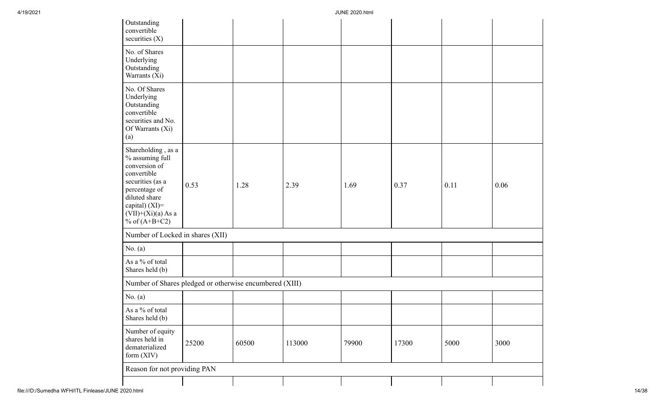| Outstanding<br>convertible<br>securities $(X)$                                                                                                                                              |       |       |        |       |       |      |      |
|---------------------------------------------------------------------------------------------------------------------------------------------------------------------------------------------|-------|-------|--------|-------|-------|------|------|
| No. of Shares<br>Underlying<br>Outstanding<br>Warrants (Xi)                                                                                                                                 |       |       |        |       |       |      |      |
| No. Of Shares<br>Underlying<br>Outstanding<br>convertible<br>securities and No.<br>Of Warrants (Xi)<br>(a)                                                                                  |       |       |        |       |       |      |      |
| Shareholding, as a<br>$\%$ assuming full<br>conversion of<br>convertible<br>securities (as a<br>percentage of<br>diluted share<br>capital) (XI)=<br>$(VII)+(Xi)(a)$ As a<br>% of $(A+B+C2)$ | 0.53  | 1.28  | 2.39   | 1.69  | 0.37  | 0.11 | 0.06 |
| Number of Locked in shares (XII)                                                                                                                                                            |       |       |        |       |       |      |      |
| No. $(a)$                                                                                                                                                                                   |       |       |        |       |       |      |      |
| As a % of total<br>Shares held (b)                                                                                                                                                          |       |       |        |       |       |      |      |
| Number of Shares pledged or otherwise encumbered (XIII)                                                                                                                                     |       |       |        |       |       |      |      |
| No. $(a)$                                                                                                                                                                                   |       |       |        |       |       |      |      |
| As a % of total<br>Shares held (b)                                                                                                                                                          |       |       |        |       |       |      |      |
| Number of equity<br>shares held in<br>dematerialized<br>form (XIV)                                                                                                                          | 25200 | 60500 | 113000 | 79900 | 17300 | 5000 | 3000 |
| Reason for not providing PAN                                                                                                                                                                |       |       |        |       |       |      |      |
|                                                                                                                                                                                             |       |       |        |       |       |      |      |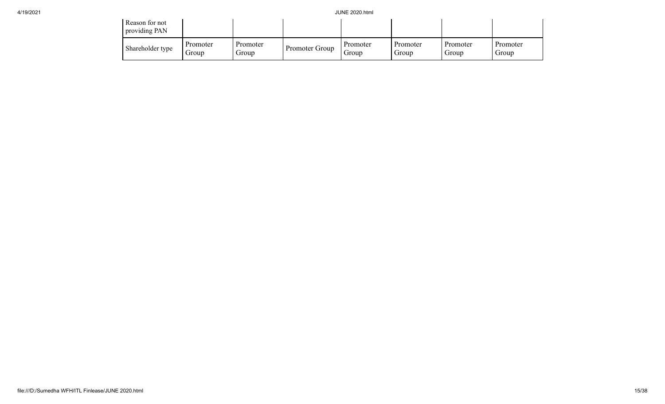| Reason for not<br>providing PAN |                   |                   |                |                   |                   |                   |                   |
|---------------------------------|-------------------|-------------------|----------------|-------------------|-------------------|-------------------|-------------------|
| Shareholder type                | Promoter<br>Group | Promoter<br>Group | Promoter Group | Promoter<br>Group | Promoter<br>Group | Promoter<br>Group | Promoter<br>Group |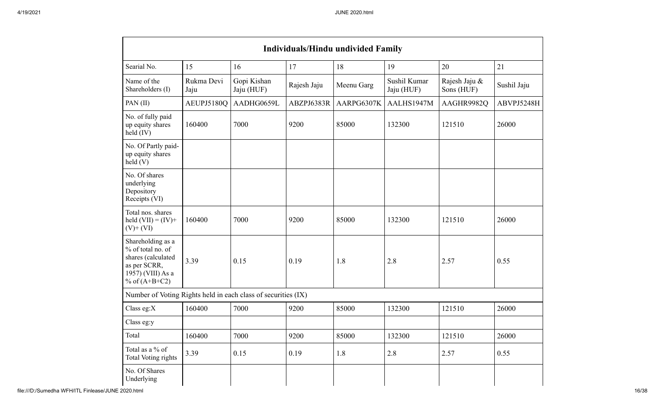|                                                                                                                      | <b>Individuals/Hindu undivided Family</b> |                           |             |            |                            |                             |             |  |  |  |  |  |
|----------------------------------------------------------------------------------------------------------------------|-------------------------------------------|---------------------------|-------------|------------|----------------------------|-----------------------------|-------------|--|--|--|--|--|
| Searial No.                                                                                                          | 15                                        | 16                        | 17          | 18         | 19                         | 20                          | 21          |  |  |  |  |  |
| Name of the<br>Shareholders (I)                                                                                      | Rukma Devi<br>Jaju                        | Gopi Kishan<br>Jaju (HUF) | Rajesh Jaju | Meenu Garg | Sushil Kumar<br>Jaju (HUF) | Rajesh Jaju &<br>Sons (HUF) | Sushil Jaju |  |  |  |  |  |
| PAN(II)                                                                                                              | AEUPJ5180O                                | AADHG0659L                | ABZPJ6383R  | AARPG6307K | AALHS1947M                 | AAGHR9982Q                  | ABVPJ5248H  |  |  |  |  |  |
| No. of fully paid<br>up equity shares<br>held (IV)                                                                   | 160400                                    | 7000                      | 9200        | 85000      | 132300                     | 121510                      | 26000       |  |  |  |  |  |
| No. Of Partly paid-<br>up equity shares<br>held(V)                                                                   |                                           |                           |             |            |                            |                             |             |  |  |  |  |  |
| No. Of shares<br>underlying<br>Depository<br>Receipts (VI)                                                           |                                           |                           |             |            |                            |                             |             |  |  |  |  |  |
| Total nos. shares<br>held $(VII) = (IV) +$<br>$(V)$ + $(VI)$                                                         | 160400                                    | 7000                      | 9200        | 85000      | 132300                     | 121510                      | 26000       |  |  |  |  |  |
| Shareholding as a<br>% of total no. of<br>shares (calculated<br>as per SCRR,<br>1957) (VIII) As a<br>% of $(A+B+C2)$ | 3.39                                      | 0.15                      | 0.19        | 1.8        | 2.8                        | 2.57                        | 0.55        |  |  |  |  |  |
| Number of Voting Rights held in each class of securities (IX)                                                        |                                           |                           |             |            |                            |                             |             |  |  |  |  |  |
| Class eg: $X$                                                                                                        | 160400                                    | 7000                      | 9200        | 85000      | 132300                     | 121510                      | 26000       |  |  |  |  |  |
| Class eg:y                                                                                                           |                                           |                           |             |            |                            |                             |             |  |  |  |  |  |
| Total                                                                                                                | 160400                                    | 7000                      | 9200        | 85000      | 132300                     | 121510                      | 26000       |  |  |  |  |  |
| Total as a % of<br>Total Voting rights                                                                               | 3.39                                      | 0.15                      | 0.19        | 1.8        | 2.8                        | 2.57                        | 0.55        |  |  |  |  |  |
| No. Of Shares<br>Underlying                                                                                          |                                           |                           |             |            |                            |                             |             |  |  |  |  |  |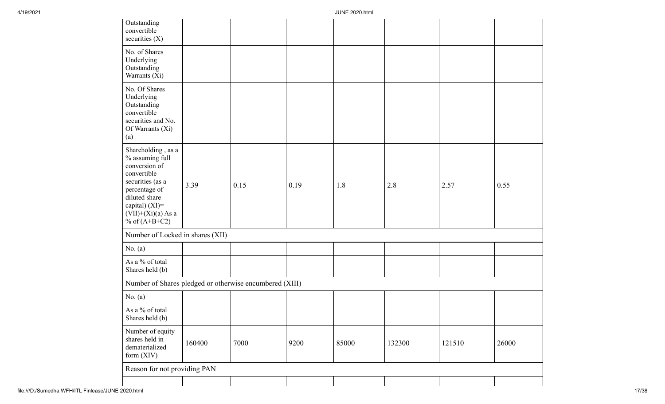| Outstanding<br>convertible<br>securities $(X)$                                                                                                                                              |        |      |      |       |        |        |       |
|---------------------------------------------------------------------------------------------------------------------------------------------------------------------------------------------|--------|------|------|-------|--------|--------|-------|
| No. of Shares<br>Underlying<br>Outstanding<br>Warrants (Xi)                                                                                                                                 |        |      |      |       |        |        |       |
| No. Of Shares<br>Underlying<br>Outstanding<br>convertible<br>securities and No.<br>Of Warrants (Xi)<br>(a)                                                                                  |        |      |      |       |        |        |       |
| Shareholding, as a<br>$\%$ assuming full<br>conversion of<br>convertible<br>securities (as a<br>percentage of<br>diluted share<br>capital) (XI)=<br>$(VII)+(Xi)(a)$ As a<br>% of $(A+B+C2)$ | 3.39   | 0.15 | 0.19 | 1.8   | 2.8    | 2.57   | 0.55  |
| Number of Locked in shares (XII)                                                                                                                                                            |        |      |      |       |        |        |       |
| No. $(a)$                                                                                                                                                                                   |        |      |      |       |        |        |       |
| As a % of total<br>Shares held (b)                                                                                                                                                          |        |      |      |       |        |        |       |
| Number of Shares pledged or otherwise encumbered (XIII)                                                                                                                                     |        |      |      |       |        |        |       |
| No. $(a)$                                                                                                                                                                                   |        |      |      |       |        |        |       |
| As a % of total<br>Shares held (b)                                                                                                                                                          |        |      |      |       |        |        |       |
| Number of equity<br>shares held in<br>dematerialized<br>form (XIV)                                                                                                                          | 160400 | 7000 | 9200 | 85000 | 132300 | 121510 | 26000 |
| Reason for not providing PAN                                                                                                                                                                |        |      |      |       |        |        |       |
|                                                                                                                                                                                             |        |      |      |       |        |        |       |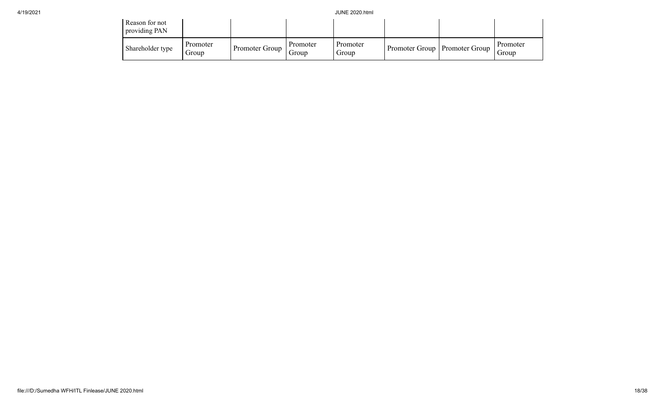| Reason for not<br>providing PAN |                   |                |                   |                   |                                 |                   |
|---------------------------------|-------------------|----------------|-------------------|-------------------|---------------------------------|-------------------|
| Shareholder type                | Promoter<br>Group | Promoter Group | Promoter<br>Group | Promoter<br>Group | Promoter Group   Promoter Group | Promoter<br>Group |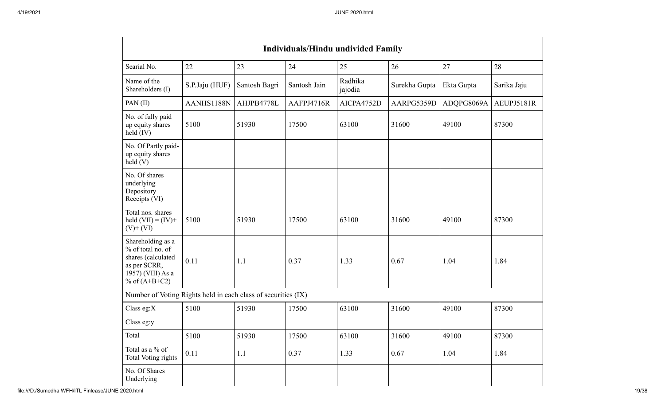| <b>Individuals/Hindu undivided Family</b>                                                                            |                |               |              |                    |               |            |             |  |  |  |  |
|----------------------------------------------------------------------------------------------------------------------|----------------|---------------|--------------|--------------------|---------------|------------|-------------|--|--|--|--|
| Searial No.                                                                                                          | 22             | 23            | 24           | 25                 | 26            | 27         | 28          |  |  |  |  |
| Name of the<br>Shareholders (I)                                                                                      | S.P.Jaju (HUF) | Santosh Bagri | Santosh Jain | Radhika<br>jajodia | Surekha Gupta | Ekta Gupta | Sarika Jaju |  |  |  |  |
| PAN (II)                                                                                                             | AANHS1188N     | AHJPB4778L    | AAFPJ4716R   | AICPA4752D         | AARPG5359D    | ADQPG8069A | AEUPJ5181R  |  |  |  |  |
| No. of fully paid<br>up equity shares<br>held (IV)                                                                   | 5100           | 51930         | 17500        | 63100              | 31600         | 49100      | 87300       |  |  |  |  |
| No. Of Partly paid-<br>up equity shares<br>held(V)                                                                   |                |               |              |                    |               |            |             |  |  |  |  |
| No. Of shares<br>underlying<br>Depository<br>Receipts (VI)                                                           |                |               |              |                    |               |            |             |  |  |  |  |
| Total nos. shares<br>held $(VII) = (IV) +$<br>$(V)+(VI)$                                                             | 5100           | 51930         | 17500        | 63100              | 31600         | 49100      | 87300       |  |  |  |  |
| Shareholding as a<br>% of total no. of<br>shares (calculated<br>as per SCRR,<br>1957) (VIII) As a<br>% of $(A+B+C2)$ | 0.11           | 1.1           | 0.37         | 1.33               | 0.67          | 1.04       | 1.84        |  |  |  |  |
| Number of Voting Rights held in each class of securities (IX)                                                        |                |               |              |                    |               |            |             |  |  |  |  |
| Class eg: $X$                                                                                                        | 5100           | 51930         | 17500        | 63100              | 31600         | 49100      | 87300       |  |  |  |  |
| Class eg:y                                                                                                           |                |               |              |                    |               |            |             |  |  |  |  |
| Total                                                                                                                | 5100           | 51930         | 17500        | 63100              | 31600         | 49100      | 87300       |  |  |  |  |
| Total as a % of<br>Total Voting rights                                                                               | 0.11           | 1.1           | 0.37         | 1.33               | 0.67          | 1.04       | 1.84        |  |  |  |  |
| No. Of Shares<br>Underlying                                                                                          |                |               |              |                    |               |            |             |  |  |  |  |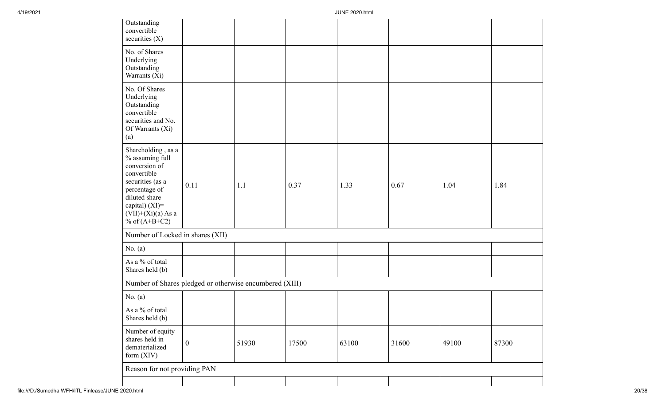| Outstanding<br>convertible<br>securities $(X)$                                                                                                                                           |                  |       |       |       |       |       |       |
|------------------------------------------------------------------------------------------------------------------------------------------------------------------------------------------|------------------|-------|-------|-------|-------|-------|-------|
| No. of Shares<br>Underlying<br>Outstanding<br>Warrants (Xi)                                                                                                                              |                  |       |       |       |       |       |       |
| No. Of Shares<br>Underlying<br>Outstanding<br>convertible<br>securities and No.<br>Of Warrants (Xi)<br>(a)                                                                               |                  |       |       |       |       |       |       |
| Shareholding, as a<br>% assuming full<br>conversion of<br>convertible<br>securities (as a<br>percentage of<br>diluted share<br>capital) (XI)=<br>$(VII)+(Xi)(a)$ As a<br>% of $(A+B+C2)$ | 0.11             | 1.1   | 0.37  | 1.33  | 0.67  | 1.04  | 1.84  |
| Number of Locked in shares (XII)                                                                                                                                                         |                  |       |       |       |       |       |       |
| No. $(a)$                                                                                                                                                                                |                  |       |       |       |       |       |       |
| As a % of total<br>Shares held (b)                                                                                                                                                       |                  |       |       |       |       |       |       |
| Number of Shares pledged or otherwise encumbered (XIII)                                                                                                                                  |                  |       |       |       |       |       |       |
| No. $(a)$                                                                                                                                                                                |                  |       |       |       |       |       |       |
| As a % of total<br>Shares held (b)                                                                                                                                                       |                  |       |       |       |       |       |       |
| Number of equity<br>shares held in<br>dematerialized<br>form $(XIV)$                                                                                                                     | $\boldsymbol{0}$ | 51930 | 17500 | 63100 | 31600 | 49100 | 87300 |
| Reason for not providing PAN                                                                                                                                                             |                  |       |       |       |       |       |       |
|                                                                                                                                                                                          |                  |       |       |       |       |       |       |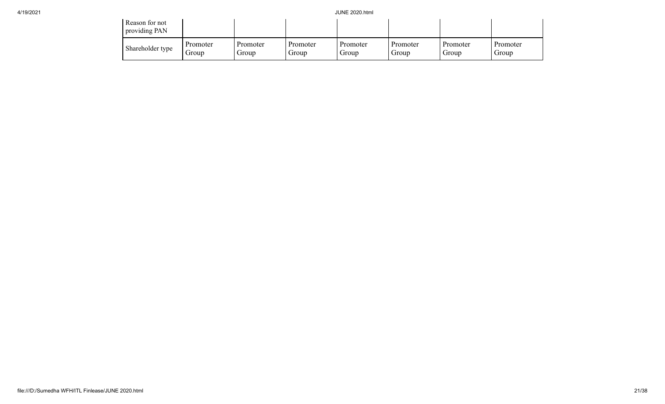| Reason for not<br>providing PAN |                   |                   |                   |                   |                   |                   |                   |
|---------------------------------|-------------------|-------------------|-------------------|-------------------|-------------------|-------------------|-------------------|
| Shareholder type                | Promoter<br>droup | Promoter<br>Group | Promoter<br>Group | Promoter<br>Group | Promoter<br>Group | Promoter<br>Group | Promoter<br>Group |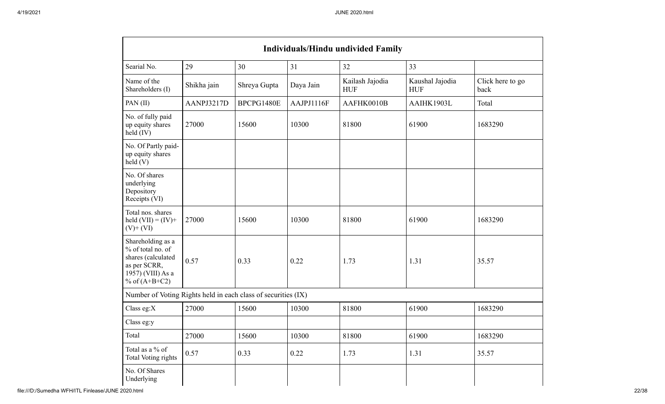| <b>Individuals/Hindu undivided Family</b>                                                                            |             |              |            |                               |                               |                          |  |  |  |  |
|----------------------------------------------------------------------------------------------------------------------|-------------|--------------|------------|-------------------------------|-------------------------------|--------------------------|--|--|--|--|
| Searial No.                                                                                                          | 29          | 30           | 31         | 32                            | 33                            |                          |  |  |  |  |
| Name of the<br>Shareholders (I)                                                                                      | Shikha jain | Shreya Gupta | Daya Jain  | Kailash Jajodia<br><b>HUF</b> | Kaushal Jajodia<br><b>HUF</b> | Click here to go<br>back |  |  |  |  |
| PAN (II)                                                                                                             | AANPJ3217D  | BPCPG1480E   | AAJPJ1116F | AAFHK0010B                    | AAIHK1903L                    | Total                    |  |  |  |  |
| No. of fully paid<br>up equity shares<br>held (IV)                                                                   | 27000       | 15600        | 10300      | 81800                         | 61900                         | 1683290                  |  |  |  |  |
| No. Of Partly paid-<br>up equity shares<br>$\text{held}$ (V)                                                         |             |              |            |                               |                               |                          |  |  |  |  |
| No. Of shares<br>underlying<br>Depository<br>Receipts (VI)                                                           |             |              |            |                               |                               |                          |  |  |  |  |
| Total nos. shares<br>held $(VII) = (IV) +$<br>$(V)$ + $(VI)$                                                         | 27000       | 15600        | 10300      | 81800                         | 61900                         | 1683290                  |  |  |  |  |
| Shareholding as a<br>% of total no. of<br>shares (calculated<br>as per SCRR,<br>1957) (VIII) As a<br>% of $(A+B+C2)$ | 0.57        | 0.33         | 0.22       | 1.73                          | 1.31                          | 35.57                    |  |  |  |  |
| Number of Voting Rights held in each class of securities (IX)                                                        |             |              |            |                               |                               |                          |  |  |  |  |
| Class eg:X                                                                                                           | 27000       | 15600        | 10300      | 81800                         | 61900                         | 1683290                  |  |  |  |  |
| Class eg:y                                                                                                           |             |              |            |                               |                               |                          |  |  |  |  |
| Total                                                                                                                | 27000       | 15600        | 10300      | 81800                         | 61900                         | 1683290                  |  |  |  |  |
| Total as a % of<br>Total Voting rights                                                                               | 0.57        | 0.33         | 0.22       | 1.73                          | 1.31                          | 35.57                    |  |  |  |  |
| No. Of Shares<br>Underlying                                                                                          |             |              |            |                               |                               |                          |  |  |  |  |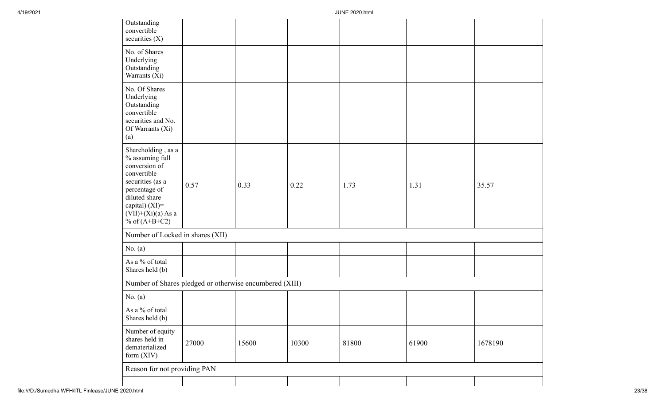| Outstanding<br>convertible<br>securities $(X)$                                                                                                                                              |       |       |       |       |       |         |
|---------------------------------------------------------------------------------------------------------------------------------------------------------------------------------------------|-------|-------|-------|-------|-------|---------|
| No. of Shares<br>Underlying<br>Outstanding<br>Warrants (Xi)                                                                                                                                 |       |       |       |       |       |         |
| No. Of Shares<br>Underlying<br>Outstanding<br>convertible<br>securities and No.<br>Of Warrants (Xi)<br>(a)                                                                                  |       |       |       |       |       |         |
| Shareholding, as a<br>$\%$ assuming full<br>conversion of<br>convertible<br>securities (as a<br>percentage of<br>diluted share<br>capital) (XI)=<br>$(VII)+(Xi)(a) As a$<br>% of $(A+B+C2)$ | 0.57  | 0.33  | 0.22  | 1.73  | 1.31  | 35.57   |
| Number of Locked in shares (XII)                                                                                                                                                            |       |       |       |       |       |         |
| No. $(a)$                                                                                                                                                                                   |       |       |       |       |       |         |
| As a % of total<br>Shares held (b)                                                                                                                                                          |       |       |       |       |       |         |
| Number of Shares pledged or otherwise encumbered (XIII)                                                                                                                                     |       |       |       |       |       |         |
| No. $(a)$                                                                                                                                                                                   |       |       |       |       |       |         |
| As a % of total<br>Shares held (b)                                                                                                                                                          |       |       |       |       |       |         |
| Number of equity<br>shares held in<br>dematerialized<br>form (XIV)                                                                                                                          | 27000 | 15600 | 10300 | 81800 | 61900 | 1678190 |
| Reason for not providing PAN                                                                                                                                                                |       |       |       |       |       |         |
|                                                                                                                                                                                             |       |       |       |       |       |         |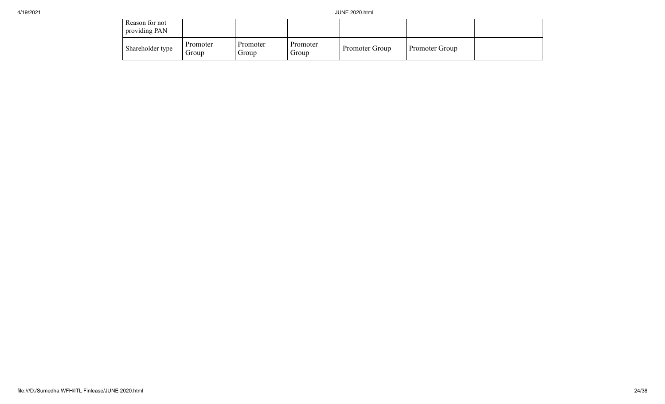| Reason for not<br>providing PAN |                   |                   |                   |                |                |  |
|---------------------------------|-------------------|-------------------|-------------------|----------------|----------------|--|
| Shareholder type                | Promoter<br>Group | Promoter<br>Group | Promoter<br>Group | Promoter Group | Promoter Group |  |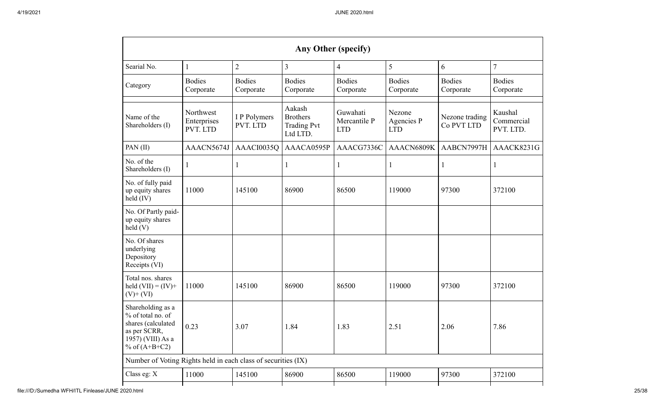| Any Other (specify)                                                                                                  |                                      |                            |                                                             |                                        |                                    |                              |                                    |  |
|----------------------------------------------------------------------------------------------------------------------|--------------------------------------|----------------------------|-------------------------------------------------------------|----------------------------------------|------------------------------------|------------------------------|------------------------------------|--|
| Searial No.                                                                                                          | $\mathbf{1}$                         | $\overline{2}$             | 3                                                           | 4                                      | 5                                  | 6                            | $\overline{7}$                     |  |
| Category                                                                                                             | <b>Bodies</b><br>Corporate           | <b>Bodies</b><br>Corporate | <b>Bodies</b><br>Corporate                                  | <b>Bodies</b><br>Corporate             | <b>Bodies</b><br>Corporate         | <b>Bodies</b><br>Corporate   | <b>Bodies</b><br>Corporate         |  |
| Name of the<br>Shareholders (I)                                                                                      | Northwest<br>Enterprises<br>PVT. LTD | I P Polymers<br>PVT. LTD   | Aakash<br><b>Brothers</b><br><b>Trading Pvt</b><br>Ltd LTD. | Guwahati<br>Mercantile P<br><b>LTD</b> | Nezone<br>Agencies P<br><b>LTD</b> | Nezone trading<br>Co PVT LTD | Kaushal<br>Commercial<br>PVT. LTD. |  |
| PAN (II)                                                                                                             | AAACN5674J                           | AAACI0035Q                 | AAACA0595P                                                  | AAACG7336C                             | AAACN6809K                         | AABCN7997H                   | AAACK8231G                         |  |
| No. of the<br>Shareholders (I)                                                                                       | $\perp$                              | 1                          |                                                             | 1                                      | 1                                  | I                            | $\mathbf l$                        |  |
| No. of fully paid<br>up equity shares<br>held (IV)                                                                   | 11000                                | 145100                     | 86900                                                       | 86500                                  | 119000                             | 97300                        | 372100                             |  |
| No. Of Partly paid-<br>up equity shares<br>$\text{held}$ (V)                                                         |                                      |                            |                                                             |                                        |                                    |                              |                                    |  |
| No. Of shares<br>underlying<br>Depository<br>Receipts (VI)                                                           |                                      |                            |                                                             |                                        |                                    |                              |                                    |  |
| Total nos. shares<br>held $(VII) = (IV) +$<br>$(V)$ + $(VI)$                                                         | 11000                                | 145100                     | 86900                                                       | 86500                                  | 119000                             | 97300                        | 372100                             |  |
| Shareholding as a<br>% of total no. of<br>shares (calculated<br>as per SCRR,<br>1957) (VIII) As a<br>% of $(A+B+C2)$ | 0.23                                 | 3.07                       | 1.84                                                        | 1.83                                   | 2.51                               | 2.06                         | 7.86                               |  |
| Number of Voting Rights held in each class of securities (IX)                                                        |                                      |                            |                                                             |                                        |                                    |                              |                                    |  |
| Class eg: X                                                                                                          | 11000                                | 145100                     | 86900                                                       | 86500                                  | 119000                             | 97300                        | 372100                             |  |
|                                                                                                                      |                                      |                            |                                                             |                                        |                                    |                              |                                    |  |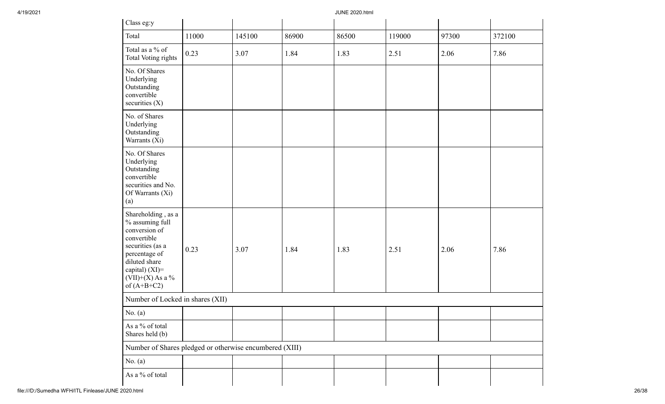| Class eg:y                                                                                                                                                                           |       |        |       |       |        |       |        |
|--------------------------------------------------------------------------------------------------------------------------------------------------------------------------------------|-------|--------|-------|-------|--------|-------|--------|
| Total                                                                                                                                                                                | 11000 | 145100 | 86900 | 86500 | 119000 | 97300 | 372100 |
| Total as a % of<br>Total Voting rights                                                                                                                                               | 0.23  | 3.07   | 1.84  | 1.83  | 2.51   | 2.06  | 7.86   |
| No. Of Shares<br>Underlying<br>Outstanding<br>convertible<br>securities $(X)$                                                                                                        |       |        |       |       |        |       |        |
| No. of Shares<br>Underlying<br>Outstanding<br>Warrants (Xi)                                                                                                                          |       |        |       |       |        |       |        |
| No. Of Shares<br>Underlying<br>Outstanding<br>convertible<br>securities and No.<br>Of Warrants (Xi)<br>(a)                                                                           |       |        |       |       |        |       |        |
| Shareholding, as a<br>% assuming full<br>conversion of<br>convertible<br>securities (as a<br>percentage of<br>diluted share<br>capital) (XI)=<br>$(VII)+(X)$ As a %<br>of $(A+B+C2)$ | 0.23  | 3.07   | 1.84  | 1.83  | 2.51   | 2.06  | 7.86   |
| Number of Locked in shares (XII)                                                                                                                                                     |       |        |       |       |        |       |        |
| No. $(a)$                                                                                                                                                                            |       |        |       |       |        |       |        |
| As a $\%$ of total<br>Shares held (b)                                                                                                                                                |       |        |       |       |        |       |        |
| Number of Shares pledged or otherwise encumbered (XIII)                                                                                                                              |       |        |       |       |        |       |        |
| No. $(a)$                                                                                                                                                                            |       |        |       |       |        |       |        |
| As a % of total                                                                                                                                                                      |       |        |       |       |        |       |        |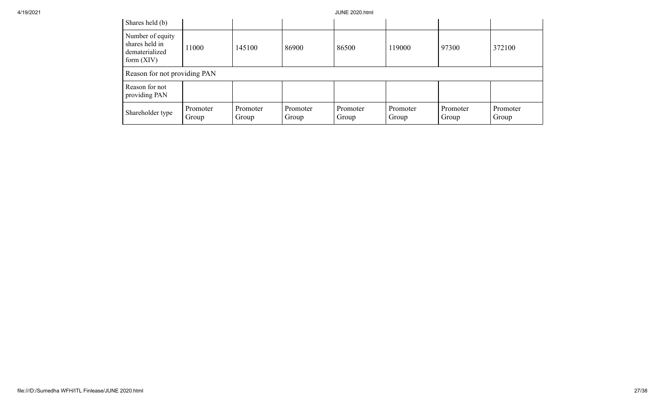| Shares held (b)                                                      |                   |                   |                   |                   |                   |                   |                   |
|----------------------------------------------------------------------|-------------------|-------------------|-------------------|-------------------|-------------------|-------------------|-------------------|
| Number of equity<br>shares held in<br>dematerialized<br>form $(XIV)$ | 11000             | 145100            | 86900             | 86500             | 119000            | 97300             | 372100            |
| Reason for not providing PAN                                         |                   |                   |                   |                   |                   |                   |                   |
| Reason for not<br>providing PAN                                      |                   |                   |                   |                   |                   |                   |                   |
| Shareholder type                                                     | Promoter<br>Group | Promoter<br>Group | Promoter<br>Group | Promoter<br>Group | Promoter<br>Group | Promoter<br>Group | Promoter<br>Group |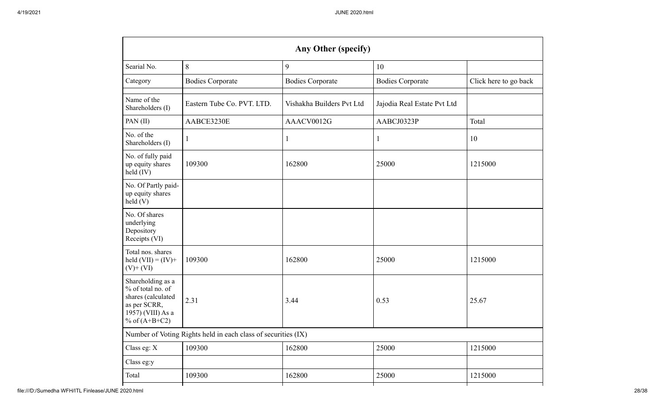| Any Other (specify)                                                                                                  |                                                               |                           |                             |                       |  |  |  |
|----------------------------------------------------------------------------------------------------------------------|---------------------------------------------------------------|---------------------------|-----------------------------|-----------------------|--|--|--|
| Searial No.                                                                                                          | 8                                                             | 9                         | 10                          |                       |  |  |  |
| Category                                                                                                             | <b>Bodies Corporate</b>                                       | <b>Bodies Corporate</b>   | <b>Bodies Corporate</b>     | Click here to go back |  |  |  |
| Name of the<br>Shareholders (I)                                                                                      | Eastern Tube Co. PVT. LTD.                                    | Vishakha Builders Pvt Ltd | Jajodia Real Estate Pvt Ltd |                       |  |  |  |
| PAN (II)                                                                                                             | AABCE3230E                                                    | AAACV0012G                | AABCJ0323P                  | Total                 |  |  |  |
| No. of the<br>Shareholders (I)                                                                                       | 1                                                             |                           |                             | 10                    |  |  |  |
| No. of fully paid<br>up equity shares<br>held (IV)                                                                   | 109300                                                        | 162800                    | 25000                       | 1215000               |  |  |  |
| No. Of Partly paid-<br>up equity shares<br>held(V)                                                                   |                                                               |                           |                             |                       |  |  |  |
| No. Of shares<br>underlying<br>Depository<br>Receipts (VI)                                                           |                                                               |                           |                             |                       |  |  |  |
| Total nos. shares<br>held $(VII) = (IV) +$<br>$(V)$ + $(VI)$                                                         | 109300                                                        | 162800                    | 25000                       | 1215000               |  |  |  |
| Shareholding as a<br>% of total no. of<br>shares (calculated<br>as per SCRR,<br>1957) (VIII) As a<br>% of $(A+B+C2)$ | 2.31                                                          | 3.44                      | 0.53                        | 25.67                 |  |  |  |
|                                                                                                                      | Number of Voting Rights held in each class of securities (IX) |                           |                             |                       |  |  |  |
| Class eg: X                                                                                                          | 109300                                                        | 162800                    | 25000                       | 1215000               |  |  |  |
| Class eg:y                                                                                                           |                                                               |                           |                             |                       |  |  |  |
| Total                                                                                                                | 109300                                                        | 162800                    | 25000                       | 1215000               |  |  |  |
|                                                                                                                      |                                                               |                           |                             |                       |  |  |  |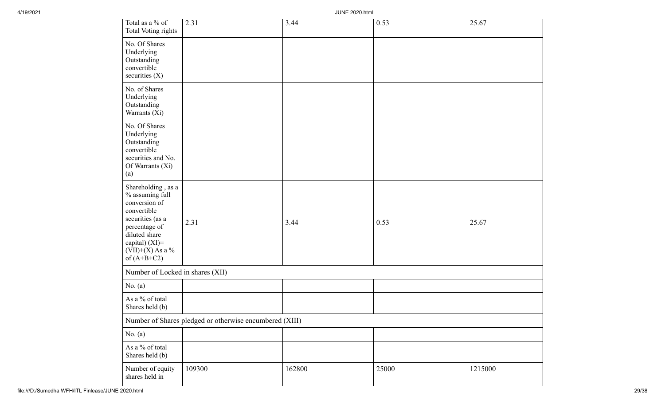| Total as a % of<br>Total Voting rights                                                                                                                                               | 2.31                                                    | 3.44   | 0.53  | 25.67   |
|--------------------------------------------------------------------------------------------------------------------------------------------------------------------------------------|---------------------------------------------------------|--------|-------|---------|
| No. Of Shares<br>Underlying<br>Outstanding<br>convertible<br>securities $(X)$                                                                                                        |                                                         |        |       |         |
| No. of Shares<br>Underlying<br>Outstanding<br>Warrants (Xi)                                                                                                                          |                                                         |        |       |         |
| No. Of Shares<br>Underlying<br>Outstanding<br>convertible<br>securities and No.<br>Of Warrants (Xi)<br>(a)                                                                           |                                                         |        |       |         |
| Shareholding, as a<br>% assuming full<br>conversion of<br>convertible<br>securities (as a<br>percentage of<br>diluted share<br>capital) (XI)=<br>$(VII)+(X)$ As a %<br>of $(A+B+C2)$ | 2.31                                                    | 3.44   | 0.53  | 25.67   |
| Number of Locked in shares (XII)                                                                                                                                                     |                                                         |        |       |         |
| No. $(a)$                                                                                                                                                                            |                                                         |        |       |         |
| As a % of total<br>Shares held (b)                                                                                                                                                   |                                                         |        |       |         |
|                                                                                                                                                                                      | Number of Shares pledged or otherwise encumbered (XIII) |        |       |         |
| No. $(a)$                                                                                                                                                                            |                                                         |        |       |         |
| As a % of total<br>Shares held (b)                                                                                                                                                   |                                                         |        |       |         |
| Number of equity<br>shares held in                                                                                                                                                   | 109300                                                  | 162800 | 25000 | 1215000 |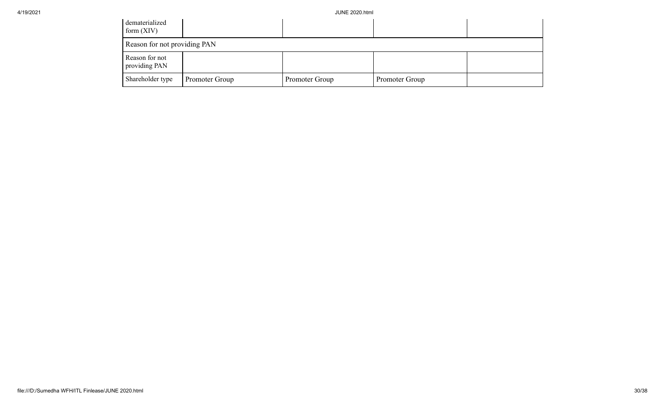| dematerialized<br>form $(XIV)$  |                |                |                |  |
|---------------------------------|----------------|----------------|----------------|--|
| Reason for not providing PAN    |                |                |                |  |
| Reason for not<br>providing PAN |                |                |                |  |
| Shareholder type                | Promoter Group | Promoter Group | Promoter Group |  |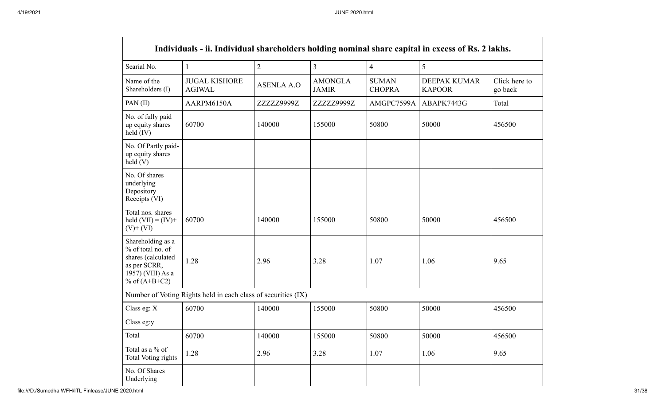|                                                                                                                      | Individuals - ii. Individual shareholders holding nominal share capital in excess of Rs. 2 lakhs. |                   |                                |                               |                               |                          |
|----------------------------------------------------------------------------------------------------------------------|---------------------------------------------------------------------------------------------------|-------------------|--------------------------------|-------------------------------|-------------------------------|--------------------------|
| Searial No.                                                                                                          | 1                                                                                                 | $\overline{2}$    | $\overline{3}$                 | $\overline{4}$                | 5                             |                          |
| Name of the<br>Shareholders (I)                                                                                      | <b>JUGAL KISHORE</b><br><b>AGIWAL</b>                                                             | <b>ASENLA A.O</b> | <b>AMONGLA</b><br><b>JAMIR</b> | <b>SUMAN</b><br><b>CHOPRA</b> | DEEPAK KUMAR<br><b>KAPOOR</b> | Click here to<br>go back |
| PAN (II)                                                                                                             | AARPM6150A                                                                                        | ZZZZZ9999Z        | ZZZZZ9999Z                     | AMGPC7599A                    | ABAPK7443G                    | Total                    |
| No. of fully paid<br>up equity shares<br>held (IV)                                                                   | 60700                                                                                             | 140000            | 155000                         | 50800                         | 50000                         | 456500                   |
| No. Of Partly paid-<br>up equity shares<br>held(V)                                                                   |                                                                                                   |                   |                                |                               |                               |                          |
| No. Of shares<br>underlying<br>Depository<br>Receipts (VI)                                                           |                                                                                                   |                   |                                |                               |                               |                          |
| Total nos. shares<br>held $(VII) = (IV) +$<br>$(V)$ + $(VI)$                                                         | 60700                                                                                             | 140000            | 155000                         | 50800                         | 50000                         | 456500                   |
| Shareholding as a<br>% of total no. of<br>shares (calculated<br>as per SCRR,<br>1957) (VIII) As a<br>% of $(A+B+C2)$ | 1.28                                                                                              | 2.96              | 3.28                           | 1.07                          | 1.06                          | 9.65                     |
|                                                                                                                      | Number of Voting Rights held in each class of securities (IX)                                     |                   |                                |                               |                               |                          |
| Class eg: X                                                                                                          | 60700                                                                                             | 140000            | 155000                         | 50800                         | 50000                         | 456500                   |
| Class eg:y                                                                                                           |                                                                                                   |                   |                                |                               |                               |                          |
| Total                                                                                                                | 60700                                                                                             | 140000            | 155000                         | 50800                         | 50000                         | 456500                   |
| Total as a % of<br><b>Total Voting rights</b>                                                                        | 1.28                                                                                              | 2.96              | 3.28                           | 1.07                          | 1.06                          | 9.65                     |
| No. Of Shares<br>Underlying                                                                                          |                                                                                                   |                   |                                |                               |                               |                          |

 $\Gamma$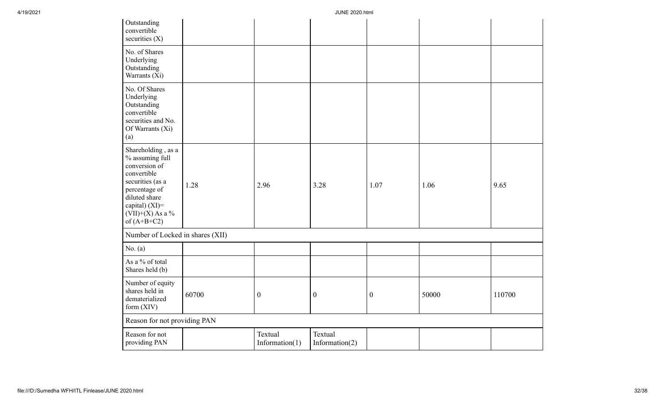| Outstanding<br>convertible<br>securities $(X)$                                                                                                                                       |       |                              |                              |                  |       |        |
|--------------------------------------------------------------------------------------------------------------------------------------------------------------------------------------|-------|------------------------------|------------------------------|------------------|-------|--------|
| No. of Shares<br>Underlying<br>Outstanding<br>Warrants (Xi)                                                                                                                          |       |                              |                              |                  |       |        |
| No. Of Shares<br>Underlying<br>Outstanding<br>convertible<br>securities and No.<br>Of Warrants (Xi)<br>(a)                                                                           |       |                              |                              |                  |       |        |
| Shareholding, as a<br>% assuming full<br>conversion of<br>convertible<br>securities (as a<br>percentage of<br>diluted share<br>capital) (XI)=<br>$(VII)+(X)$ As a %<br>of $(A+B+C2)$ | 1.28  | 2.96                         | 3.28                         | 1.07             | 1.06  | 9.65   |
| Number of Locked in shares (XII)                                                                                                                                                     |       |                              |                              |                  |       |        |
| No. $(a)$                                                                                                                                                                            |       |                              |                              |                  |       |        |
| As a % of total<br>Shares held (b)                                                                                                                                                   |       |                              |                              |                  |       |        |
| Number of equity<br>shares held in<br>dematerialized<br>form $(XIV)$                                                                                                                 | 60700 | $\boldsymbol{0}$             | $\boldsymbol{0}$             | $\boldsymbol{0}$ | 50000 | 110700 |
| Reason for not providing PAN                                                                                                                                                         |       |                              |                              |                  |       |        |
| Reason for not<br>providing PAN                                                                                                                                                      |       | Textual<br>Information $(1)$ | Textual<br>Information $(2)$ |                  |       |        |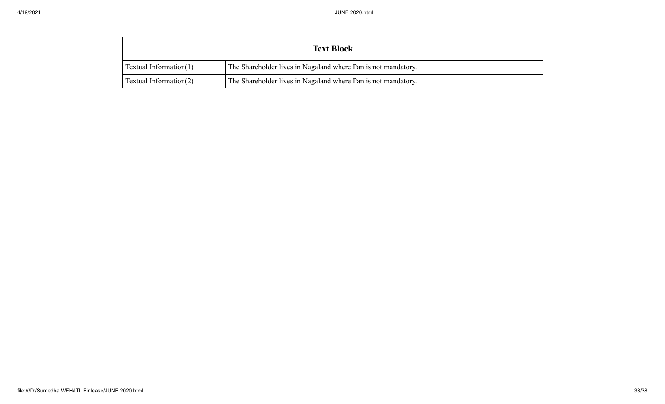| <b>Text Block</b>         |                                                               |  |  |  |  |
|---------------------------|---------------------------------------------------------------|--|--|--|--|
| Textual Information $(1)$ | The Shareholder lives in Nagaland where Pan is not mandatory. |  |  |  |  |
| Textual Information $(2)$ | The Shareholder lives in Nagaland where Pan is not mandatory. |  |  |  |  |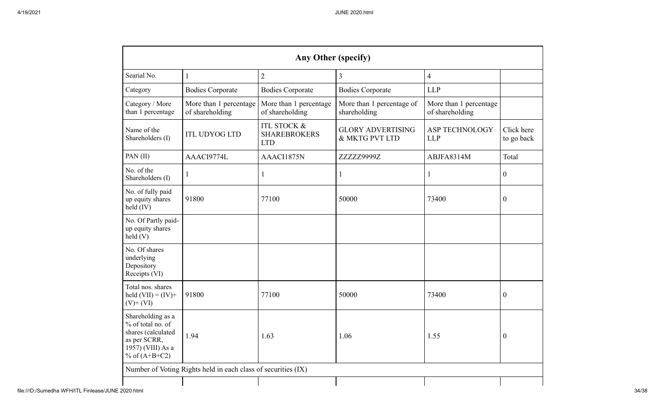| Any Other (specify)                                                                                                  |                                                               |                                                             |                                            |                                           |                          |  |  |
|----------------------------------------------------------------------------------------------------------------------|---------------------------------------------------------------|-------------------------------------------------------------|--------------------------------------------|-------------------------------------------|--------------------------|--|--|
| Searial No.                                                                                                          | $\mathbf{1}$                                                  | $\overline{2}$                                              | $\overline{3}$                             | $\overline{4}$                            |                          |  |  |
| Category                                                                                                             | <b>Bodies Corporate</b>                                       | <b>Bodies Corporate</b>                                     | <b>Bodies Corporate</b>                    | <b>LLP</b>                                |                          |  |  |
| Category / More<br>than 1 percentage                                                                                 | More than 1 percentage<br>of shareholding                     | More than 1 percentage<br>of shareholding                   | More than 1 percentage of<br>shareholding  | More than 1 percentage<br>of shareholding |                          |  |  |
| Name of the<br>Shareholders (I)                                                                                      | <b>ITL UDYOG LTD</b>                                          | <b>ITL STOCK &amp;</b><br><b>SHAREBROKERS</b><br><b>LTD</b> | <b>GLORY ADVERTISING</b><br>& MKTG PVT LTD | <b>ASP TECHNOLOGY</b><br><b>LLP</b>       | Click here<br>to go back |  |  |
| PAN(II)                                                                                                              | AAACI9774L                                                    | AAACI1875N                                                  | ZZZZZ9999Z                                 | ABJFA8314M                                | Total                    |  |  |
| No. of the<br>Shareholders (I)                                                                                       | 1                                                             | $\mathbf{1}$                                                | 1                                          | $\mathbf{1}$                              | $\boldsymbol{0}$         |  |  |
| No. of fully paid<br>up equity shares<br>held (IV)                                                                   | 91800                                                         | 77100                                                       | 50000                                      | 73400                                     | $\overline{0}$           |  |  |
| No. Of Partly paid-<br>up equity shares<br>held(V)                                                                   |                                                               |                                                             |                                            |                                           |                          |  |  |
| No. Of shares<br>underlying<br>Depository<br>Receipts (VI)                                                           |                                                               |                                                             |                                            |                                           |                          |  |  |
| Total nos. shares<br>held $(VII) = (IV) +$<br>$(V)+(VI)$                                                             | 91800                                                         | 77100                                                       | 50000                                      | 73400                                     | $\overline{0}$           |  |  |
| Shareholding as a<br>% of total no. of<br>shares (calculated<br>as per SCRR,<br>1957) (VIII) As a<br>% of $(A+B+C2)$ | 1.94                                                          | 1.63                                                        | 1.06                                       | 1.55                                      | $\boldsymbol{0}$         |  |  |
|                                                                                                                      | Number of Voting Rights held in each class of securities (IX) |                                                             |                                            |                                           |                          |  |  |
|                                                                                                                      |                                                               |                                                             |                                            |                                           |                          |  |  |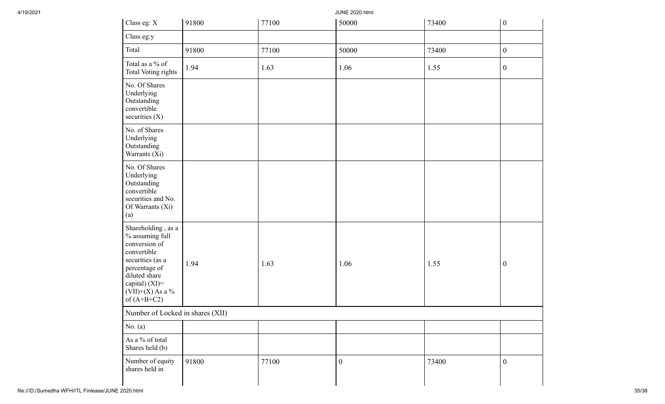| Class eg: X                                                                                                                                                                          | 91800 | 77100 | 50000            | 73400 | $\boldsymbol{0}$ |
|--------------------------------------------------------------------------------------------------------------------------------------------------------------------------------------|-------|-------|------------------|-------|------------------|
| Class eg:y                                                                                                                                                                           |       |       |                  |       |                  |
| Total                                                                                                                                                                                | 91800 | 77100 | 50000            | 73400 | $\boldsymbol{0}$ |
| Total as a % of<br><b>Total Voting rights</b>                                                                                                                                        | 1.94  | 1.63  | 1.06             | 1.55  | $\boldsymbol{0}$ |
| No. Of Shares<br>Underlying<br>Outstanding<br>convertible<br>securities (X)                                                                                                          |       |       |                  |       |                  |
| No. of Shares<br>Underlying<br>Outstanding<br>Warrants (Xi)                                                                                                                          |       |       |                  |       |                  |
| No. Of Shares<br>Underlying<br>Outstanding<br>convertible<br>securities and No.<br>Of Warrants (Xi)<br>(a)                                                                           |       |       |                  |       |                  |
| Shareholding, as a<br>% assuming full<br>conversion of<br>convertible<br>securities (as a<br>percentage of<br>diluted share<br>capital) (XI)=<br>$(VII)+(X)$ As a %<br>of $(A+B+C2)$ | 1.94  | 1.63  | 1.06             | 1.55  | $\boldsymbol{0}$ |
| Number of Locked in shares (XII)                                                                                                                                                     |       |       |                  |       |                  |
| No. $(a)$                                                                                                                                                                            |       |       |                  |       |                  |
| As a % of total<br>Shares held (b)                                                                                                                                                   |       |       |                  |       |                  |
| Number of equity<br>shares held in                                                                                                                                                   | 91800 | 77100 | $\boldsymbol{0}$ | 73400 | $\boldsymbol{0}$ |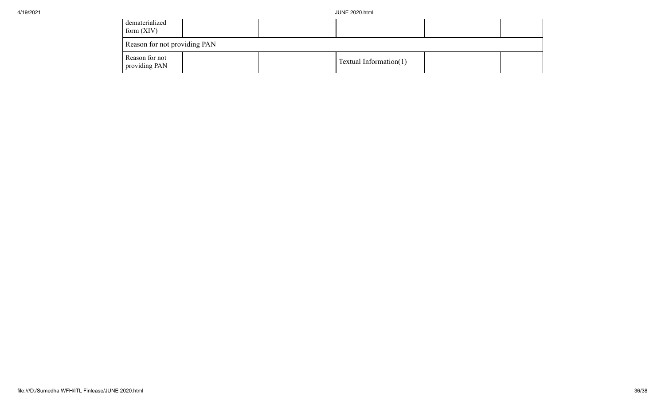| dematerialized<br>form $(XIV)$  |  |                        |  |
|---------------------------------|--|------------------------|--|
| Reason for not providing PAN    |  |                        |  |
| Reason for not<br>providing PAN |  | Textual Information(1) |  |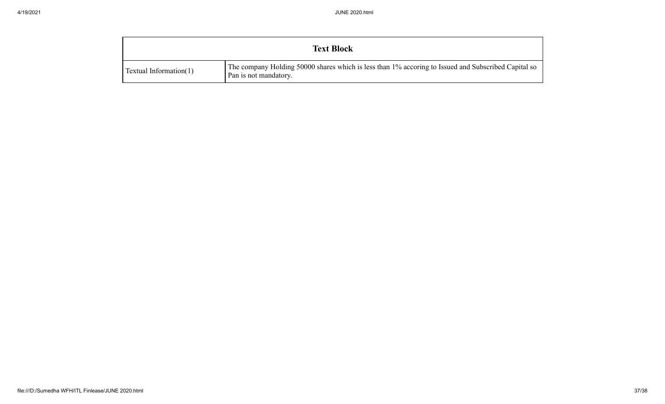| <b>Text Block</b>             |                                                                                                                              |
|-------------------------------|------------------------------------------------------------------------------------------------------------------------------|
| <b>Textual Information(1)</b> | The company Holding 50000 shares which is less than 1% accoring to Issued and Subscribed Capital so<br>Pan is not mandatory. |